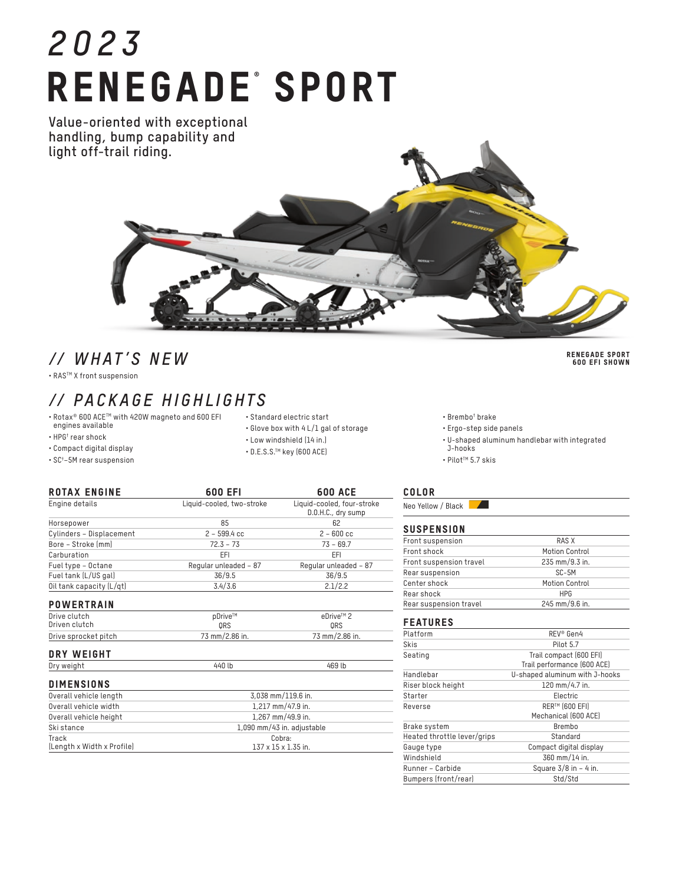# *2023* RENEGADE<sup>®</sup> SPORT

**Value-oriented with exceptional handling, bump capability and light off-trail riding.**

### *// WHAT'S NEW*

• RASTM X front suspension

## *// PACKAGE HIGHLIGHTS*

- Rotax® 600 ACETM with 420W magneto and 600 EFI engines available
- 

Track

(Length x Width x Profile)

- HPG† rear shock
- Compact digital display
- SC† –5M rear suspension
- Standard electric start
- Glove box with 4 L/1 gal of storage
- Low windshield (14 in.)
- D.E.S.S.TM key (600 ACE)

Cobra: 137 x 15 x 1.35 in.

COLOR Neo Yellow / Black 7.

• Brembo† brake • Ergo-step side panels

J-hooks • Pilot™ 5.7 skis

| .<br>the contract of the contract of | ---- |  |
|--------------------------------------|------|--|
|                                      |      |  |
|                                      |      |  |
|                                      |      |  |

|  | SUSPENSION |  |  |  |  |
|--|------------|--|--|--|--|
|  |            |  |  |  |  |

| Front suspension        | RAS X          |  |
|-------------------------|----------------|--|
| Front shock             | Motion Control |  |
| Front suspension travel | 235 mm/9.3 in. |  |
| Rear suspension         | SC-5M          |  |
| Center shock            | Motion Control |  |
| Rear shock              | <b>HPG</b>     |  |
| Rear suspension travel  | 245 mm/9.6 in. |  |
|                         |                |  |

• U-shaped aluminum handlebar with integrated

### FEATURES

| Platform                    | REV <sup>®</sup> Gen4                                  |  |  |
|-----------------------------|--------------------------------------------------------|--|--|
| Skis                        | Pilot 5.7                                              |  |  |
| Seating                     | Trail compact (600 EFI)<br>Trail performance (600 ACE) |  |  |
| Handlebar                   | U-shaped aluminum with J-hooks                         |  |  |
| Riser block height          | 120 mm/4.7 in.                                         |  |  |
| Starter                     | Electric                                               |  |  |
| Reverse                     | RER™ (600 EFI)<br>Mechanical (600 ACE)                 |  |  |
| Brake system                | Brembo                                                 |  |  |
| Heated throttle lever/grips | Standard                                               |  |  |
| Gauge type                  | Compact digital display                                |  |  |
| Windshield                  | 360 mm/14 in.                                          |  |  |
| Runner - Carbide            | Square $3/8$ in $-4$ in.                               |  |  |
| Bumpers (front/rear)        | Std/Std                                                |  |  |

| Engine details           | Liquid-cooled, two-stroke | Liquid-cooled, four-stroke<br>D.O.H.C., dry sump |  |
|--------------------------|---------------------------|--------------------------------------------------|--|
| Horsepower               | 85                        | 62                                               |  |
| Cylinders - Displacement | $2 - 599.4$ cc            | $2 - 600$ cc                                     |  |
| Bore - Stroke (mm)       | $72.3 - 73$               | $73 - 69.7$                                      |  |
| Carburation              | EFI                       | EFI                                              |  |
| Fuel type - Octane       | Regular unleaded - 87     | Regular unleaded - 87                            |  |
| Fuel tank (L/US gal)     | 36/9.5                    | 36/9.5                                           |  |
| Oil tank capacity (L/qt) | 3.4/3.6                   | 2.1/2.2                                          |  |
| <b>POWERTRAIN</b>        |                           |                                                  |  |
| Drive clutch             | pDrive™                   | eDrive™ 2                                        |  |
| Driven clutch            | ORS                       | ORS                                              |  |
| Drive sprocket pitch     | 73 mm/2.86 in.            | 73 mm/2.86 in.                                   |  |
| DRY WEIGHT               |                           |                                                  |  |
| Dry weight               | 440 lb                    | 469 lb                                           |  |
| <b>DIMENSIONS</b>        |                           |                                                  |  |
| Overall vehicle length   | 3,038 mm/119.6 in.        |                                                  |  |
| Overall vehicle width    | 1,217 mm/47.9 in.         |                                                  |  |

Overall vehicle height 1,267 mm/49.9 in. Ski stance 1,090 mm/43 in. adjustable

ROTAX ENGINE 600 EFI 600 ACE

- -
	-

RENEGADE SPORT 600 EFI SHOWN